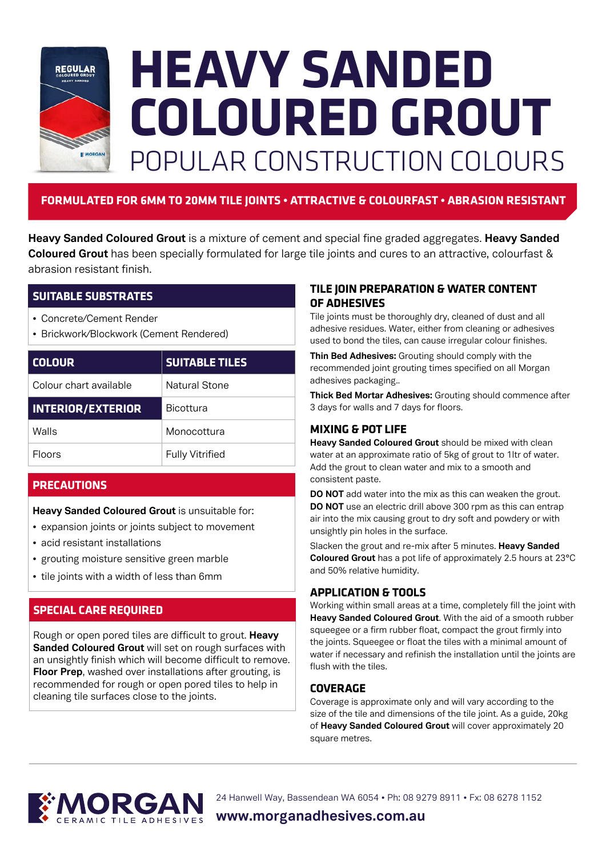

# **HEAVY SANDED COLOURED GROUT** POPULAR CONSTRUCTION COLOURS

# **FORMULATED FOR 6MM TO 20MM TILE JOINTS • ATTRACTIVE & COLOURFAST • ABRASION RESISTANT**

**Heavy Sanded Coloured Grout** is a mixture of cement and special fine graded aggregates. **Heavy Sanded Coloured Grout** has been specially formulated for large tile joints and cures to an attractive, colourfast & abrasion resistant finish.

# **SUITABLE SUBSTRATES**

- Concrete/Cement Render
- Brickwork/Blockwork (Cement Rendered)

| <b>COLOUR</b>            | <b>SUITABLE TILES</b>  |
|--------------------------|------------------------|
| Colour chart available   | Natural Stone          |
| <b>INTERIOR/EXTERIOR</b> | <b>Bicottura</b>       |
| Walls                    | Monocottura            |
| <b>Floors</b>            | <b>Fully Vitrified</b> |

# **PRECAUTIONS**

## **Heavy Sanded Coloured Grout** is unsuitable for:

- expansion joints or joints subject to movement
- acid resistant installations
- grouting moisture sensitive green marble
- tile joints with a width of less than 6mm

# **SPECIAL CARE REQUIRED**

Rough or open pored tiles are difficult to grout. **Heavy Sanded Coloured Grout** will set on rough surfaces with an unsightly finish which will become difficult to remove. **Floor Prep**, washed over installations after grouting, is recommended for rough or open pored tiles to help in cleaning tile surfaces close to the joints.

# **TILE JOIN PREPARATION & WATER CONTENT OF ADHESIVES**

Tile joints must be thoroughly dry, cleaned of dust and all adhesive residues. Water, either from cleaning or adhesives used to bond the tiles, can cause irregular colour finishes.

**Thin Bed Adhesives:** Grouting should comply with the recommended joint grouting times specified on all Morgan adhesives packaging..

**Thick Bed Mortar Adhesives:** Grouting should commence after 3 days for walls and 7 days for floors.

# **MIXING & POT LIFE**

**Heavy Sanded Coloured Grout** should be mixed with clean water at an approximate ratio of 5kg of grout to 1ltr of water. Add the grout to clean water and mix to a smooth and consistent paste.

**DO NOT** add water into the mix as this can weaken the grout. **DO NOT** use an electric drill above 300 rpm as this can entrap air into the mix causing grout to dry soft and powdery or with unsightly pin holes in the surface.

Slacken the grout and re-mix after 5 minutes. **Heavy Sanded Coloured Grout** has a pot life of approximately 2.5 hours at 23°C and 50% relative humidity.

## **APPLICATION & TOOLS**

Working within small areas at a time, completely fill the joint with **Heavy Sanded Coloured Grout**. With the aid of a smooth rubber squeegee or a firm rubber float, compact the grout firmly into the joints. Squeegee or float the tiles with a minimal amount of water if necessary and refinish the installation until the joints are flush with the tiles.

# **COVERAGE**

Coverage is approximate only and will vary according to the size of the tile and dimensions of the tile joint. As a guide, 20kg of **Heavy Sanded Coloured Grout** will cover approximately 20 square metres.



24 Hanwell Way, Bassendean WA 6054 • Ph: 08 9279 8911 • Fx: 08 6278 1152

**www.morganadhesives.com.au**